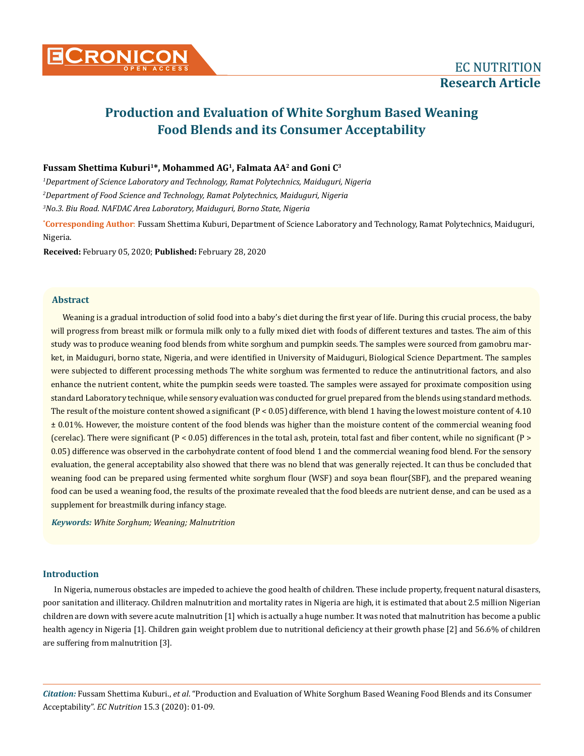# **Fussam Shettima Kuburi1\*, Mohammed AG1, Falmata AA2 and Goni C3**

*1 Department of Science Laboratory and Technology, Ramat Polytechnics, Maiduguri, Nigeria 2 Department of Food Science and Technology, Ramat Polytechnics, Maiduguri, Nigeria 3 No.3. Biu Road. NAFDAC Area Laboratory, Maiduguri, Borno State, Nigeria*

**\* Corresponding Author**: Fussam Shettima Kuburi, Department of Science Laboratory and Technology, Ramat Polytechnics, Maiduguri, Nigeria.

**Received:** February 05, 2020; **Published:** February 28, 2020

## **Abstract**

Weaning is a gradual introduction of solid food into a baby's diet during the first year of life. During this crucial process, the baby will progress from breast milk or formula milk only to a fully mixed diet with foods of different textures and tastes. The aim of this study was to produce weaning food blends from white sorghum and pumpkin seeds. The samples were sourced from gamobru market, in Maiduguri, borno state, Nigeria, and were identified in University of Maiduguri, Biological Science Department. The samples were subjected to different processing methods The white sorghum was fermented to reduce the antinutritional factors, and also enhance the nutrient content, white the pumpkin seeds were toasted. The samples were assayed for proximate composition using standard Laboratory technique, while sensory evaluation was conducted for gruel prepared from the blends using standard methods. The result of the moisture content showed a significant (P < 0.05) difference, with blend 1 having the lowest moisture content of 4.10 ± 0.01%. However, the moisture content of the food blends was higher than the moisture content of the commercial weaning food (cerelac). There were significant  $(P < 0.05)$  differences in the total ash, protein, total fast and fiber content, while no significant  $(P > 0.05)$ 0.05) difference was observed in the carbohydrate content of food blend 1 and the commercial weaning food blend. For the sensory evaluation, the general acceptability also showed that there was no blend that was generally rejected. It can thus be concluded that weaning food can be prepared using fermented white sorghum flour (WSF) and soya bean flour(SBF), and the prepared weaning food can be used a weaning food, the results of the proximate revealed that the food bleeds are nutrient dense, and can be used as a supplement for breastmilk during infancy stage.

*Keywords: White Sorghum; Weaning; Malnutrition*

# **Introduction**

In Nigeria, numerous obstacles are impeded to achieve the good health of children. These include property, frequent natural disasters, poor sanitation and illiteracy. Children malnutrition and mortality rates in Nigeria are high, it is estimated that about 2.5 million Nigerian children are down with severe acute malnutrition [1] which is actually a huge number. It was noted that malnutrition has become a public health agency in Nigeria [1]. Children gain weight problem due to nutritional deficiency at their growth phase [2] and 56.6% of children are suffering from malnutrition [3].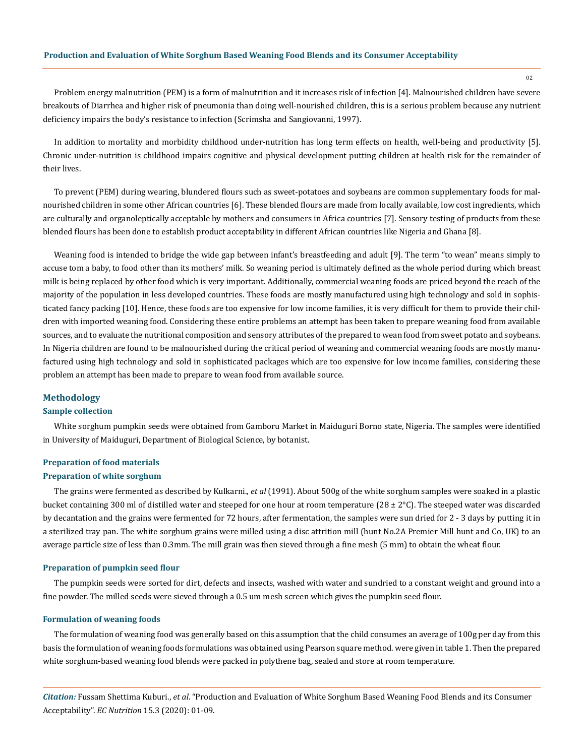02

Problem energy malnutrition (PEM) is a form of malnutrition and it increases risk of infection [4]. Malnourished children have severe breakouts of Diarrhea and higher risk of pneumonia than doing well-nourished children, this is a serious problem because any nutrient deficiency impairs the body's resistance to infection (Scrimsha and Sangiovanni, 1997).

In addition to mortality and morbidity childhood under-nutrition has long term effects on health, well-being and productivity [5]. Chronic under-nutrition is childhood impairs cognitive and physical development putting children at health risk for the remainder of their lives.

To prevent (PEM) during wearing, blundered flours such as sweet-potatoes and soybeans are common supplementary foods for malnourished children in some other African countries [6]. These blended flours are made from locally available, low cost ingredients, which are culturally and organoleptically acceptable by mothers and consumers in Africa countries [7]. Sensory testing of products from these blended flours has been done to establish product acceptability in different African countries like Nigeria and Ghana [8].

Weaning food is intended to bridge the wide gap between infant's breastfeeding and adult [9]. The term "to wean" means simply to accuse tom a baby, to food other than its mothers' milk. So weaning period is ultimately defined as the whole period during which breast milk is being replaced by other food which is very important. Additionally, commercial weaning foods are priced beyond the reach of the majority of the population in less developed countries. These foods are mostly manufactured using high technology and sold in sophisticated fancy packing [10]. Hence, these foods are too expensive for low income families, it is very difficult for them to provide their children with imported weaning food. Considering these entire problems an attempt has been taken to prepare weaning food from available sources, and to evaluate the nutritional composition and sensory attributes of the prepared to wean food from sweet potato and soybeans. In Nigeria children are found to be malnourished during the critical period of weaning and commercial weaning foods are mostly manufactured using high technology and sold in sophisticated packages which are too expensive for low income families, considering these problem an attempt has been made to prepare to wean food from available source.

## **Methodology**

## **Sample collection**

White sorghum pumpkin seeds were obtained from Gamboru Market in Maiduguri Borno state, Nigeria. The samples were identified in University of Maiduguri, Department of Biological Science, by botanist.

#### **Preparation of food materials**

#### **Preparation of white sorghum**

The grains were fermented as described by Kulkarni., *et al* (1991). About 500g of the white sorghum samples were soaked in a plastic bucket containing 300 ml of distilled water and steeped for one hour at room temperature (28 ± 2°C). The steeped water was discarded by decantation and the grains were fermented for 72 hours, after fermentation, the samples were sun dried for 2 - 3 days by putting it in a sterilized tray pan. The white sorghum grains were milled using a disc attrition mill (hunt No.2A Premier Mill hunt and Co, UK) to an average particle size of less than 0.3mm. The mill grain was then sieved through a fine mesh (5 mm) to obtain the wheat flour.

#### **Preparation of pumpkin seed flour**

The pumpkin seeds were sorted for dirt, defects and insects, washed with water and sundried to a constant weight and ground into a fine powder. The milled seeds were sieved through a 0.5 um mesh screen which gives the pumpkin seed flour.

#### **Formulation of weaning foods**

The formulation of weaning food was generally based on this assumption that the child consumes an average of 100g per day from this basis the formulation of weaning foods formulations was obtained using Pearson square method. were given in table 1. Then the prepared white sorghum-based weaning food blends were packed in polythene bag, sealed and store at room temperature.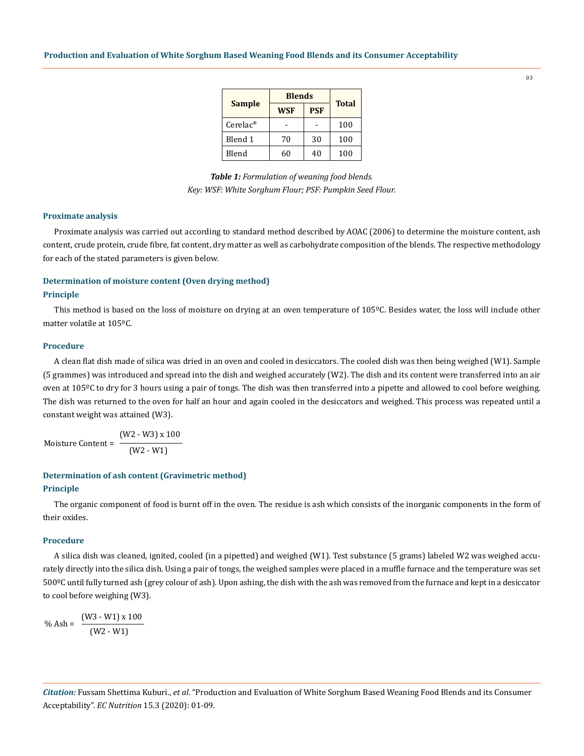| <b>Sample</b>           | <b>Blends</b> |            |              |  |
|-------------------------|---------------|------------|--------------|--|
|                         | <b>WSF</b>    | <b>PSF</b> | <b>Total</b> |  |
| $Cerelac^{\circledast}$ |               |            | 100          |  |
| Blend 1                 | 70            | 30         | 100          |  |
| Blend                   |               | 40         | 100          |  |

*Table 1: Formulation of weaning food blends. Key: WSF: White Sorghum Flour; PSF: Pumpkin Seed Flour.*

#### **Proximate analysis**

Proximate analysis was carried out according to standard method described by AOAC (2006) to determine the moisture content, ash content, crude protein, crude fibre, fat content, dry matter as well as carbohydrate composition of the blends. The respective methodology for each of the stated parameters is given below.

# **Determination of moisture content (Oven drying method)**

#### **Principle**

This method is based on the loss of moisture on drying at an oven temperature of 105ºC. Besides water, the loss will include other matter volatile at 105ºC.

# **Procedure**

A clean flat dish made of silica was dried in an oven and cooled in desiccators. The cooled dish was then being weighed (W1). Sample (5 grammes) was introduced and spread into the dish and weighed accurately (W2). The dish and its content were transferred into an air oven at 105ºC to dry for 3 hours using a pair of tongs. The dish was then transferred into a pipette and allowed to cool before weighing. The dish was returned to the oven for half an hour and again cooled in the desiccators and weighed. This process was repeated until a constant weight was attained (W3).

Moisture Content = (W2 - W3) x 100 (W2 - W1)

#### **Determination of ash content (Gravimetric method)**

# **Principle**

The organic component of food is burnt off in the oven. The residue is ash which consists of the inorganic components in the form of their oxides.

# **Procedure**

A silica dish was cleaned, ignited, cooled (in a pipetted) and weighed (W1). Test substance (5 grams) labeled W2 was weighed accurately directly into the silica dish. Using a pair of tongs, the weighed samples were placed in a muffle furnace and the temperature was set 500ºC until fully turned ash (grey colour of ash). Upon ashing, the dish with the ash was removed from the furnace and kept in a desiccator to cool before weighing (W3).

$$
\% \text{ Ash} = \frac{(W3 - W1) \times 100}{(W2 - W1)}
$$

03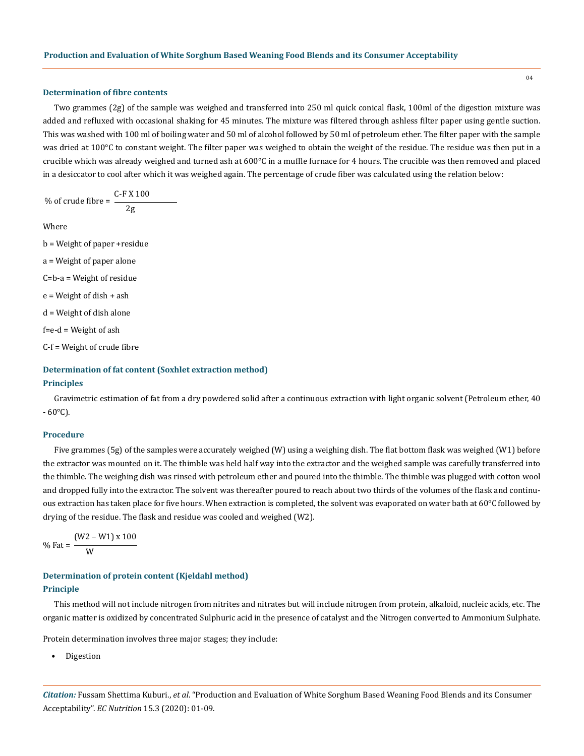#### **Determination of fibre contents**

Two grammes (2g) of the sample was weighed and transferred into 250 ml quick conical flask, 100ml of the digestion mixture was added and refluxed with occasional shaking for 45 minutes. The mixture was filtered through ashless filter paper using gentle suction. This was washed with 100 ml of boiling water and 50 ml of alcohol followed by 50 ml of petroleum ether. The filter paper with the sample was dried at 100°C to constant weight. The filter paper was weighed to obtain the weight of the residue. The residue was then put in a crucible which was already weighed and turned ash at 600°C in a muffle furnace for 4 hours. The crucible was then removed and placed in a desiccator to cool after which it was weighed again. The percentage of crude fiber was calculated using the relation below:

% of crude fibre = 
$$
\frac{C-F X 100}{2g}
$$

Where

- b = Weight of paper +residue
- a = Weight of paper alone
- C=b-a = Weight of residue
- e = Weight of dish + ash
- d = Weight of dish alone

 $f=e-d = Weight of ash$ 

C-f = Weight of crude fibre

# **Determination of fat content (Soxhlet extraction method) Principles**

Gravimetric estimation of fat from a dry powdered solid after a continuous extraction with light organic solvent (Petroleum ether, 40  $-60^{\circ}$ C).

## **Procedure**

Five grammes (5g) of the samples were accurately weighed (W) using a weighing dish. The flat bottom flask was weighed (W1) before the extractor was mounted on it. The thimble was held half way into the extractor and the weighed sample was carefully transferred into the thimble. The weighing dish was rinsed with petroleum ether and poured into the thimble. The thimble was plugged with cotton wool and dropped fully into the extractor. The solvent was thereafter poured to reach about two thirds of the volumes of the flask and continuous extraction has taken place for five hours. When extraction is completed, the solvent was evaporated on water bath at 60°C followed by drying of the residue. The flask and residue was cooled and weighed (W2).

% Fat = 
$$
\frac{(W2 - W1) \times 100}{W}
$$

# **Determination of protein content (Kjeldahl method) Principle**

This method will not include nitrogen from nitrites and nitrates but will include nitrogen from protein, alkaloid, nucleic acids, etc. The organic matter is oxidized by concentrated Sulphuric acid in the presence of catalyst and the Nitrogen converted to Ammonium Sulphate.

Protein determination involves three major stages; they include:

• Digestion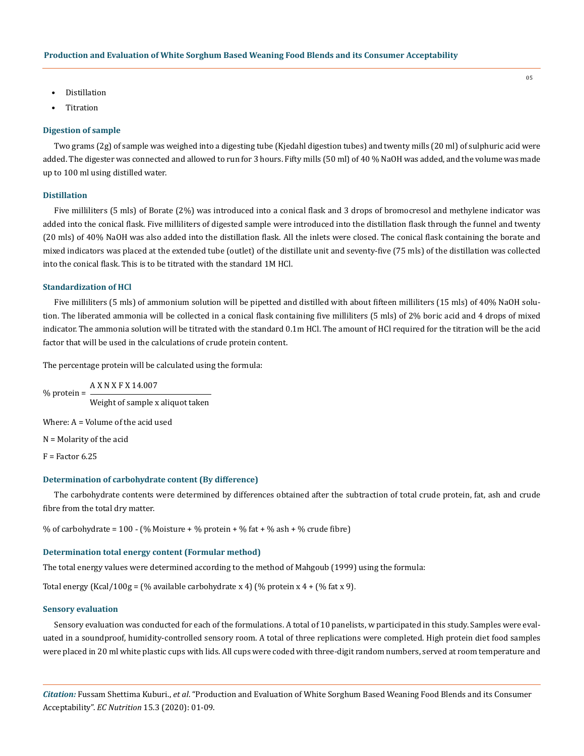- Distillation
- **Titration**

## **Digestion of sample**

Two grams (2g) of sample was weighed into a digesting tube (Kjedahl digestion tubes) and twenty mills (20 ml) of sulphuric acid were added. The digester was connected and allowed to run for 3 hours. Fifty mills (50 ml) of 40 % NaOH was added, and the volume was made up to 100 ml using distilled water.

## **Distillation**

Five milliliters (5 mls) of Borate (2%) was introduced into a conical flask and 3 drops of bromocresol and methylene indicator was added into the conical flask. Five milliliters of digested sample were introduced into the distillation flask through the funnel and twenty (20 mls) of 40% NaOH was also added into the distillation flask. All the inlets were closed. The conical flask containing the borate and mixed indicators was placed at the extended tube (outlet) of the distillate unit and seventy-five (75 mls) of the distillation was collected into the conical flask. This is to be titrated with the standard 1M HCl.

#### **Standardization of HCl**

Five milliliters (5 mls) of ammonium solution will be pipetted and distilled with about fifteen milliliters (15 mls) of 40% NaOH solution. The liberated ammonia will be collected in a conical flask containing five milliliters (5 mls) of 2% boric acid and 4 drops of mixed indicator. The ammonia solution will be titrated with the standard 0.1m HCl. The amount of HCl required for the titration will be the acid factor that will be used in the calculations of crude protein content.

The percentage protein will be calculated using the formula:

% protein = A X N X F X 14.007 Weight of sample x aliquot taken

Where: A = Volume of the acid used

N = Molarity of the acid

 $F = Factor 6.25$ 

## **Determination of carbohydrate content (By difference)**

The carbohydrate contents were determined by differences obtained after the subtraction of total crude protein, fat, ash and crude fibre from the total dry matter.

% of carbohydrate =  $100 - (% Moisture + % protein + % fat + % ash + % crude fibre)$ 

## **Determination total energy content (Formular method)**

The total energy values were determined according to the method of Mahgoub (1999) using the formula:

Total energy (Kcal/100g = (% available carbohydrate x 4) (% protein x 4 + (% fat x 9).

#### **Sensory evaluation**

Sensory evaluation was conducted for each of the formulations. A total of 10 panelists, w participated in this study. Samples were evaluated in a soundproof, humidity-controlled sensory room. A total of three replications were completed. High protein diet food samples were placed in 20 ml white plastic cups with lids. All cups were coded with three-digit random numbers, served at room temperature and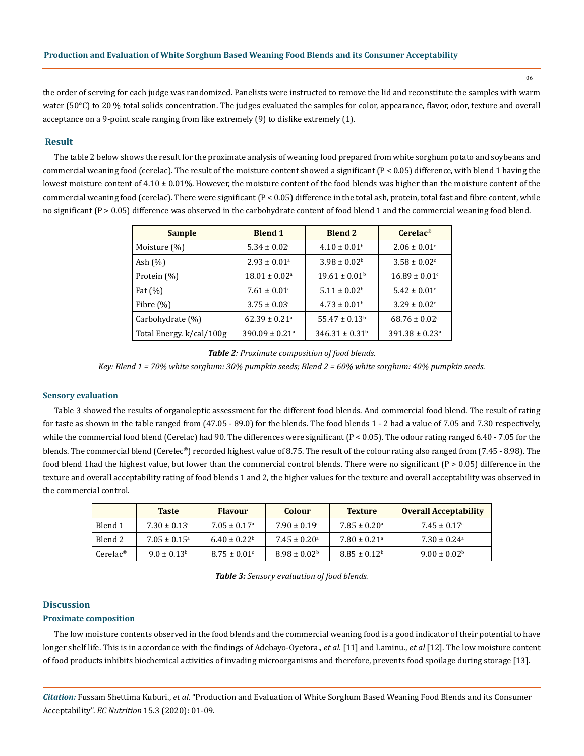06

the order of serving for each judge was randomized. Panelists were instructed to remove the lid and reconstitute the samples with warm water (50°C) to 20 % total solids concentration. The judges evaluated the samples for color, appearance, flavor, odor, texture and overall acceptance on a 9-point scale ranging from like extremely (9) to dislike extremely (1).

# **Result**

The table 2 below shows the result for the proximate analysis of weaning food prepared from white sorghum potato and soybeans and commercial weaning food (cerelac). The result of the moisture content showed a significant  $(P < 0.05)$  difference, with blend 1 having the lowest moisture content of  $4.10 \pm 0.01$ %. However, the moisture content of the food blends was higher than the moisture content of the commercial weaning food (cerelac). There were significant  $(P < 0.05)$  difference in the total ash, protein, total fast and fibre content, while no significant (P > 0.05) difference was observed in the carbohydrate content of food blend 1 and the commercial weaning food blend.

| <b>Sample</b>            | <b>Blend 1</b>                 | <b>Blend 2</b>                 | $Cerelac$ <sup>®</sup>         |  |
|--------------------------|--------------------------------|--------------------------------|--------------------------------|--|
| Moisture (%)             | $5.34 \pm 0.02$ <sup>a</sup>   | $4.10 \pm 0.01^{\rm b}$        | $2.06 \pm 0.01$ <sup>c</sup>   |  |
| Ash $(\%)$               | $2.93 \pm 0.01$ <sup>a</sup>   | $3.98 \pm 0.02^b$              | $3.58 \pm 0.02$ <sup>c</sup>   |  |
| Protein (%)              | $18.01 \pm 0.02$ <sup>a</sup>  | $19.61 \pm 0.01^{\rm b}$       | $16.89 \pm 0.01$ <sup>c</sup>  |  |
| Fat $(\%)$               | $7.61 \pm 0.01$ <sup>a</sup>   | $5.11 \pm 0.02^{\rm b}$        | $5.42 \pm 0.01$ <sup>c</sup>   |  |
| Fibre $(\%)$             | $3.75 \pm 0.03$ <sup>a</sup>   | $4.73 \pm 0.01^{\rm b}$        | $3.29 \pm 0.02$ <sup>c</sup>   |  |
| Carbohydrate (%)         | $62.39 \pm 0.21$ <sup>a</sup>  | $55.47 \pm 0.13^b$             | $68.76 \pm 0.02$ <sup>c</sup>  |  |
| Total Energy. k/cal/100g | $390.09 \pm 0.21$ <sup>a</sup> | $346.31 \pm 0.31$ <sup>b</sup> | $391.38 \pm 0.23$ <sup>a</sup> |  |

*Table 2: Proximate composition of food blends.*

*Key: Blend 1 = 70% white sorghum: 30% pumpkin seeds; Blend 2 = 60% white sorghum: 40% pumpkin seeds.*

#### **Sensory evaluation**

Table 3 showed the results of organoleptic assessment for the different food blends. And commercial food blend. The result of rating for taste as shown in the table ranged from (47.05 - 89.0) for the blends. The food blends 1 - 2 had a value of 7.05 and 7.30 respectively, while the commercial food blend (Cerelac) had 90. The differences were significant  $(P < 0.05)$ . The odour rating ranged 6.40 - 7.05 for the blends. The commercial blend (Cerelec®) recorded highest value of 8.75. The result of the colour rating also ranged from (7.45 - 8.98). The food blend 1had the highest value, but lower than the commercial control blends. There were no significant (P > 0.05) difference in the texture and overall acceptability rating of food blends 1 and 2, the higher values for the texture and overall acceptability was observed in the commercial control.

|                      | <b>Taste</b>                 | <b>Flavour</b>               | <b>Colour</b>              | <b>Texture</b>               | <b>Overall Acceptability</b> |
|----------------------|------------------------------|------------------------------|----------------------------|------------------------------|------------------------------|
| Blend 1              | $7.30 \pm 0.13$ <sup>a</sup> | $7.05 + 0.17a$               | $7.90 \pm 0.19^{\circ}$    | $7.85 \pm 0.20^{\circ}$      | $7.45 \pm 0.17^{\circ}$      |
| Blend 2              | $7.05 + 0.15$ <sup>a</sup>   | $6.40 \pm 0.22^{\rm b}$      | $7.45 + 0.20$ <sup>a</sup> | $7.80 \pm 0.21$ <sup>a</sup> | $7.30 \pm 0.24$ <sup>a</sup> |
| $Cerelace^{\otimes}$ | $9.0 \pm 0.13^b$             | $8.75 \pm 0.01$ <sup>c</sup> | $8.98 \pm 0.02^{\rm b}$    | $8.85 \pm 0.12^{\circ}$      | $9.00 \pm 0.02^{\rm b}$      |

| Table 3: Sensory evaluation of food blends. |  |  |  |  |  |
|---------------------------------------------|--|--|--|--|--|
|---------------------------------------------|--|--|--|--|--|

# **Discussion Proximate composition**

The low moisture contents observed in the food blends and the commercial weaning food is a good indicator of their potential to have longer shelf life. This is in accordance with the findings of Adebayo-Oyetora., *et al.* [11] and Laminu., *et al* [12]. The low moisture content of food products inhibits biochemical activities of invading microorganisms and therefore, prevents food spoilage during storage [13].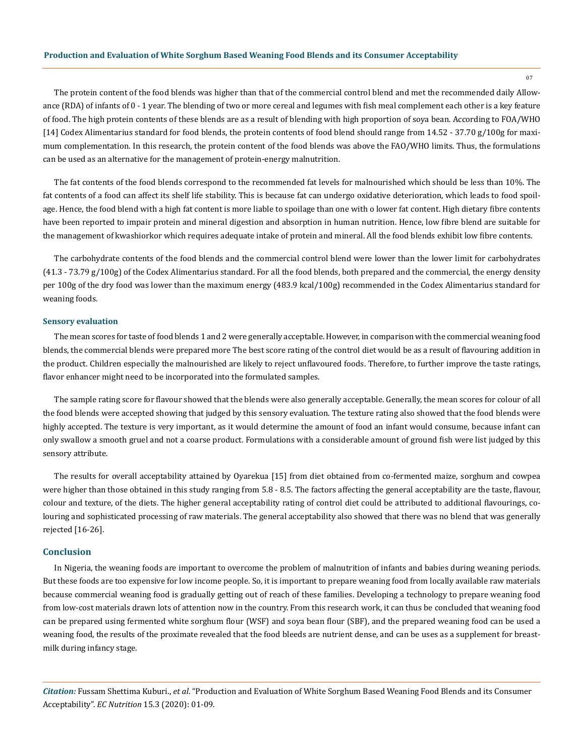The protein content of the food blends was higher than that of the commercial control blend and met the recommended daily Allowance (RDA) of infants of 0 - 1 year. The blending of two or more cereal and legumes with fish meal complement each other is a key feature of food. The high protein contents of these blends are as a result of blending with high proportion of soya bean. According to FOA/WHO [14] Codex Alimentarius standard for food blends, the protein contents of food blend should range from 14.52 - 37.70 g/100g for maximum complementation. In this research, the protein content of the food blends was above the FAO/WHO limits. Thus, the formulations can be used as an alternative for the management of protein-energy malnutrition.

The fat contents of the food blends correspond to the recommended fat levels for malnourished which should be less than 10%. The fat contents of a food can affect its shelf life stability. This is because fat can undergo oxidative deterioration, which leads to food spoilage. Hence, the food blend with a high fat content is more liable to spoilage than one with o lower fat content. High dietary fibre contents have been reported to impair protein and mineral digestion and absorption in human nutrition. Hence, low fibre blend are suitable for the management of kwashiorkor which requires adequate intake of protein and mineral. All the food blends exhibit low fibre contents.

The carbohydrate contents of the food blends and the commercial control blend were lower than the lower limit for carbohydrates  $(41.3 - 73.79 g/100g)$  of the Codex Alimentarius standard. For all the food blends, both prepared and the commercial, the energy density per 100g of the dry food was lower than the maximum energy (483.9 kcal/100g) recommended in the Codex Alimentarius standard for weaning foods.

#### **Sensory evaluation**

The mean scores for taste of food blends 1 and 2 were generally acceptable. However, in comparison with the commercial weaning food blends, the commercial blends were prepared more The best score rating of the control diet would be as a result of flavouring addition in the product. Children especially the malnourished are likely to reject unflavoured foods. Therefore, to further improve the taste ratings, flavor enhancer might need to be incorporated into the formulated samples.

The sample rating score for flavour showed that the blends were also generally acceptable. Generally, the mean scores for colour of all the food blends were accepted showing that judged by this sensory evaluation. The texture rating also showed that the food blends were highly accepted. The texture is very important, as it would determine the amount of food an infant would consume, because infant can only swallow a smooth gruel and not a coarse product. Formulations with a considerable amount of ground fish were list judged by this sensory attribute.

The results for overall acceptability attained by Oyarekua [15] from diet obtained from co-fermented maize, sorghum and cowpea were higher than those obtained in this study ranging from 5.8 - 8.5. The factors affecting the general acceptability are the taste, flavour, colour and texture, of the diets. The higher general acceptability rating of control diet could be attributed to additional flavourings, colouring and sophisticated processing of raw materials. The general acceptability also showed that there was no blend that was generally rejected [16-26].

# **Conclusion**

In Nigeria, the weaning foods are important to overcome the problem of malnutrition of infants and babies during weaning periods. But these foods are too expensive for low income people. So, it is important to prepare weaning food from locally available raw materials because commercial weaning food is gradually getting out of reach of these families. Developing a technology to prepare weaning food from low-cost materials drawn lots of attention now in the country. From this research work, it can thus be concluded that weaning food can be prepared using fermented white sorghum flour (WSF) and soya bean flour (SBF), and the prepared weaning food can be used a weaning food, the results of the proximate revealed that the food bleeds are nutrient dense, and can be uses as a supplement for breastmilk during infancy stage.

*Citation:* Fussam Shettima Kuburi., *et al*. "Production and Evaluation of White Sorghum Based Weaning Food Blends and its Consumer Acceptability". *EC Nutrition* 15.3 (2020): 01-09.

07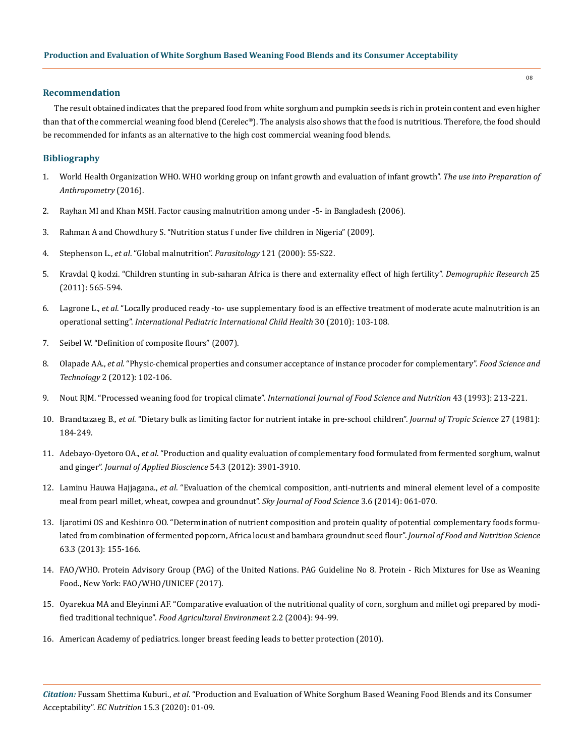## **Recommendation**

The result obtained indicates that the prepared food from white sorghum and pumpkin seeds is rich in protein content and even higher than that of the commercial weaning food blend (Cerelec®). The analysis also shows that the food is nutritious. Therefore, the food should be recommended for infants as an alternative to the high cost commercial weaning food blends.

# **Bibliography**

- 1. [World Health Organization WHO. WHO working group on infant growth and evaluation of infant growth".](https://www.who.int/nutrition/publications/evaluation_infant_growth/en/) *The use into Preparation of [Anthropometry](https://www.who.int/nutrition/publications/evaluation_infant_growth/en/)* (2016).
- 2. [Rayhan MI and Khan MSH. Factor causing malnutrition among under -5- in Bangladesh \(2006\).](https://www.researchgate.net/publication/26564294_Factors_Causing_Malnutrition_among_under_Five_Children_in_Bangladesh)
- 3. Rahman A and Chowdhury S. "Nutrition status f under five children in Nigeria" (2009).
- 4. Stephenson L., *et al*[. "Global malnutrition".](https://www.ncbi.nlm.nih.gov/pubmed/11386691) *Parasitology* 121 (2000): 55-S22.
- 5. [Kravdal Q kodzi. "Children stunting in sub-saharan Africa is there and externality effect of high fertility".](https://www.demographic-research.org/volumes/vol25/18/default.htm) *Demographic Research* 25 [\(2011\): 565-594.](https://www.demographic-research.org/volumes/vol25/18/default.htm)
- 6. Lagrone L., *et al*[. "Locally produced ready -to- use supplementary food is an effective treatment of moderate acute malnutrition is an](https://www.ncbi.nlm.nih.gov/pubmed/20522296)  operational setting". *[International Pediatric International Child Health](https://www.ncbi.nlm.nih.gov/pubmed/20522296)* 30 (2010): 103-108.
- 7. Seibel W. "Definition of composite flours" (2007).
- 8. Olapade AA., *et al*. "Physic-chemical properties and consumer acceptance of instance procoder for complementary". *Food Science and Technology* 2 (2012): 102-106.
- 9. Nout RJM. "Processed weaning food for tropical climate". *[International Journal of Food Science and Nutrition](https://www.tandfonline.com/doi/abs/10.3109/09637489309027545)* 43 (1993): 213-221.
- 10. Brandtazaeg B., *et al*[. "Dietary bulk as limiting factor for nutrient intake in pre-school children".](https://www.ncbi.nlm.nih.gov/pubmed/7288909) *Journal of Tropic Science* 27 (1981): [184-249.](https://www.ncbi.nlm.nih.gov/pubmed/7288909)
- 11. Adebayo-Oyetoro OA., *et al*[. "Production and quality evaluation of complementary food formulated from fermented sorghum, walnut](http://www.m.elewa.org/JABS/2012/54/6.pdf)  and ginger". *[Journal of Applied Bioscience](http://www.m.elewa.org/JABS/2012/54/6.pdf)* 54.3 (2012): 3901-3910.
- 12. Laminu Hauwa Hajjagana., *et al*[. "Evaluation of the chemical composition, anti-nutrients and mineral element level of a composite](https://www.researchgate.net/publication/269995626_Evaluation_of_the_chemical_composition_anti-nutrients_and_mineral_element_level_of_a_composite_meal_from_pearl_millet_wheat_cowpea_and_groundnut)  [meal from pearl millet, wheat, cowpea and groundnut".](https://www.researchgate.net/publication/269995626_Evaluation_of_the_chemical_composition_anti-nutrients_and_mineral_element_level_of_a_composite_meal_from_pearl_millet_wheat_cowpea_and_groundnut) *Sky Journal of Food Science* 3.6 (2014): 061-070.
- 13. [Ijarotimi OS and Keshinro OO. "Determination of nutrient composition and protein quality of potential complementary foods formu](https://content.sciendo.com/view/journals/pjfns/63/3/article-p155.xml)[lated from combination of fermented popcorn, Africa locust and bambara groundnut seed flour".](https://content.sciendo.com/view/journals/pjfns/63/3/article-p155.xml) *Journal of Food and Nutrition Science* [63.3 \(2013\): 155-166.](https://content.sciendo.com/view/journals/pjfns/63/3/article-p155.xml)
- 14. FAO/WHO. Protein Advisory Group (PAG) of the United Nations. PAG Guideline No 8. Protein Rich Mixtures for Use as Weaning Food., New York: FAO/WHO/UNICEF (2017).
- 15. [Oyarekua MA and Eleyinmi AF. "Comparative evaluation of the nutritional quality of corn, sorghum and millet ogi prepared by modi](http://agris.fao.org/agris-search/search.do?recordID=FI2007029189)fied traditional technique". *[Food Agricultural Environment](http://agris.fao.org/agris-search/search.do?recordID=FI2007029189)* 2.2 (2004): 94-99.
- 16. [American Academy of pediatrics. longer breast feeding leads to better protection \(2010\).](https://www.aap.org/en-us/about-the-aap/aap-press-room/Pages/Longer-Breastfeeding-leads-to-Better-Protection.aspx)

*Citation:* Fussam Shettima Kuburi., *et al*. "Production and Evaluation of White Sorghum Based Weaning Food Blends and its Consumer Acceptability". *EC Nutrition* 15.3 (2020): 01-09.

08